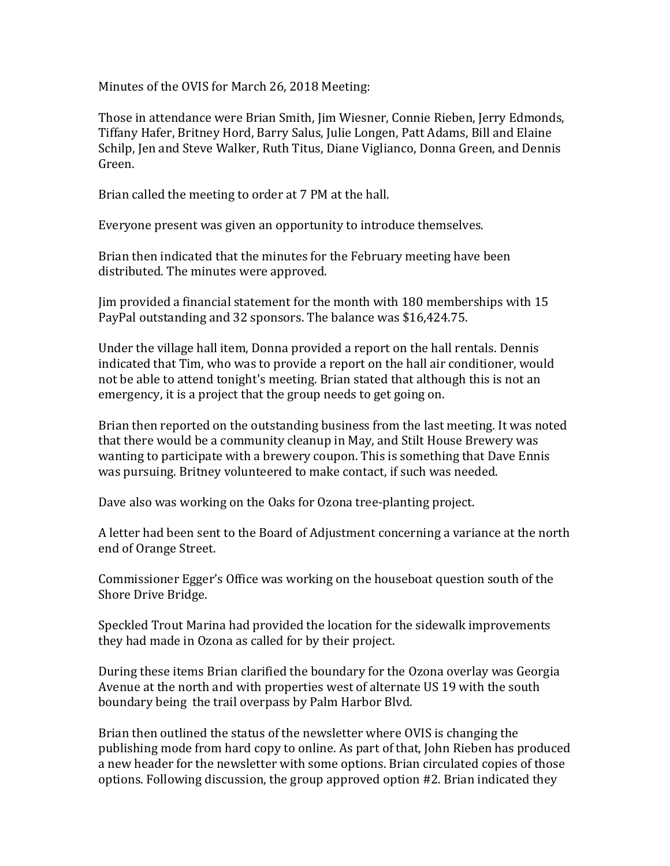Minutes of the OVIS for March 26, 2018 Meeting:

Those in attendance were Brian Smith, Jim Wiesner, Connie Rieben, Jerry Edmonds, Tiffany Hafer, Britney Hord, Barry Salus, Julie Longen, Patt Adams, Bill and Elaine Schilp, Jen and Steve Walker, Ruth Titus, Diane Viglianco, Donna Green, and Dennis Green.

Brian called the meeting to order at 7 PM at the hall.

Everyone present was given an opportunity to introduce themselves.

Brian then indicated that the minutes for the February meeting have been distributed. The minutes were approved.

Jim provided a financial statement for the month with 180 memberships with 15 PayPal outstanding and 32 sponsors. The balance was \$16,424.75.

Under the village hall item, Donna provided a report on the hall rentals. Dennis indicated that Tim, who was to provide a report on the hall air conditioner, would not be able to attend tonight's meeting. Brian stated that although this is not an emergency, it is a project that the group needs to get going on.

Brian then reported on the outstanding business from the last meeting. It was noted that there would be a community cleanup in May, and Stilt House Brewery was wanting to participate with a brewery coupon. This is something that Dave Ennis was pursuing. Britney volunteered to make contact, if such was needed.

Dave also was working on the Oaks for Ozona tree-planting project.

A letter had been sent to the Board of Adjustment concerning a variance at the north end of Orange Street.

Commissioner Egger's Office was working on the houseboat question south of the Shore Drive Bridge.

Speckled Trout Marina had provided the location for the sidewalk improvements they had made in Ozona as called for by their project.

During these items Brian clarified the boundary for the Ozona overlay was Georgia Avenue at the north and with properties west of alternate US 19 with the south boundary being the trail overpass by Palm Harbor Blvd.

Brian then outlined the status of the newsletter where OVIS is changing the publishing mode from hard copy to online. As part of that, John Rieben has produced a new header for the newsletter with some options. Brian circulated copies of those options. Following discussion, the group approved option #2. Brian indicated they